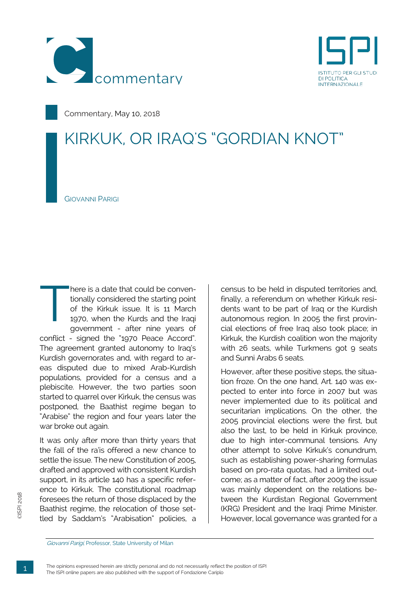



Commentary, May 10, 2018

## KIRKUK, OR IRAQ'S "GORDIAN KNOT"

GIOVANNI PARIGI

here is a date that could be conventionally considered the starting point of the Kirkuk issue. It is 11 March 1970, when the Kurds and the Iraqi government - after nine years of conflict - signed the "1970 Peace Accord". The agreement granted autonomy to Iraq's Kurdish governorates and, with regard to areas disputed due to mixed Arab-Kurdish populations, provided for a census and a plebiscite. However, the two parties soon started to quarrel over Kirkuk, the census was postponed, the Baathist regime began to "Arabise" the region and four years later the war broke out again. T

It was only after more than thirty years that the fall of the ra'is offered a new chance to settle the issue. The new Constitution of 2005, drafted and approved with consistent Kurdish support, in its article 140 has a specific reference to Kirkuk. The constitutional roadmap foresees the return of those displaced by the Baathist regime, the relocation of those settled by Saddam's "Arabisation" policies, a census to be held in disputed territories and, finally, a referendum on whether Kirkuk residents want to be part of Iraq or the Kurdish autonomous region. In 2005 the first provincial elections of free Iraq also took place; in Kirkuk, the Kurdish coalition won the majority with 26 seats, while Turkmens got 9 seats and Sunni Arabs 6 seats.

However, after these positive steps, the situation froze. On the one hand, Art. 140 was expected to enter into force in 2007 but was never implemented due to its political and securitarian implications. On the other, the 2005 provincial elections were the first, but also the last, to be held in Kirkuk province, due to high inter-communal tensions. Any other attempt to solve Kirkuk's conundrum, such as establishing power-sharing formulas based on pro-rata quotas, had a limited outcome; as a matter of fact, after 2009 the issue was mainly dependent on the relations between the Kurdistan Regional Government (KRG) President and the Iraqi Prime Minister. However, local governance was granted for a

Giovanni Parigi, Professor, State University of Milan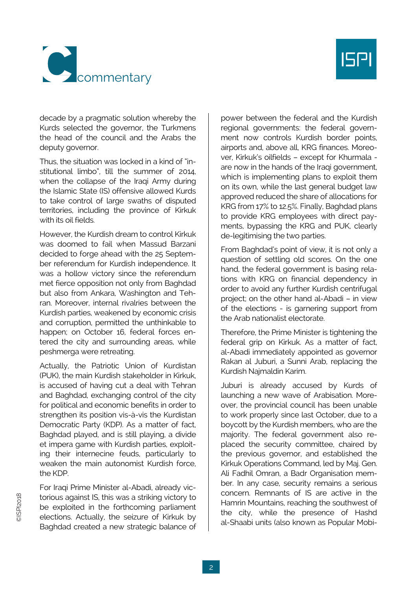



decade by a pragmatic solution whereby the Kurds selected the governor, the Turkmens the head of the council and the Arabs the deputy governor.

Thus, the situation was locked in a kind of "institutional limbo", till the summer of 2014, when the collapse of the Iraqi Army during the Islamic State (IS) offensive allowed Kurds to take control of large swaths of disputed territories, including the province of Kirkuk with its oil fields.

However, the Kurdish dream to control Kirkuk was doomed to fail when Massud Barzani decided to forge ahead with the 25 September referendum for Kurdish independence. It was a hollow victory since the referendum met fierce opposition not only from Baghdad but also from Ankara, Washington and Tehran. Moreover, internal rivalries between the Kurdish parties, weakened by economic crisis and corruption, permitted the unthinkable to happen; on October 16, federal forces entered the city and surrounding areas, while peshmerga were retreating.

Actually, the Patriotic Union of Kurdistan (PUK), the main Kurdish stakeholder in Kirkuk, is accused of having cut a deal with Tehran and Baghdad, exchanging control of the city for political and economic benefits in order to strengthen its position vis-à-vis the Kurdistan Democratic Party (KDP). As a matter of fact, Baghdad played, and is still playing, a divide et impera game with Kurdish parties, exploiting their internecine feuds, particularly to weaken the main autonomist Kurdish force, the KDP.

For Iraqi Prime Minister al-Abadi, already victorious against IS, this was a striking victory to be exploited in the forthcoming parliament elections. Actually, the seizure of Kirkuk by Baghdad created a new strategic balance of power between the federal and the Kurdish regional governments: the federal government now controls Kurdish border points, airports and, above all, KRG finances. Moreover, Kirkuk's oilfields – except for Khurmala are now in the hands of the Iraqi government, which is implementing plans to exploit them on its own, while the last general budget law approved reduced the share of allocations for KRG from 17% to 12.5%. Finally, Baghdad plans to provide KRG employees with direct payments, bypassing the KRG and PUK, clearly de-legitimising the two parties.

From Baghdad's point of view, it is not only a question of settling old scores. On the one hand, the federal government is basing relations with KRG on financial dependency in order to avoid any further Kurdish centrifugal project; on the other hand al-Abadi – in view of the elections - is garnering support from the Arab nationalist electorate.

Therefore, the Prime Minister is tightening the federal grip on Kirkuk. As a matter of fact, al-Abadi immediately appointed as governor Rakan al Juburi, a Sunni Arab, replacing the Kurdish Najmaldin Karim.

Juburi is already accused by Kurds of launching a new wave of Arabisation. Moreover, the provincial council has been unable to work properly since last October, due to a boycott by the Kurdish members, who are the majority. The federal government also replaced the security committee, chaired by the previous governor, and established the Kirkuk Operations Command, led by Maj. Gen. Ali Fadhil Omran, a Badr Organisation member. In any case, security remains a serious concern. Remnants of IS are active in the Hamrin Mountains, reaching the southwest of the city, while the presence of Hashd al-Shaabi units (also known as Popular Mobi-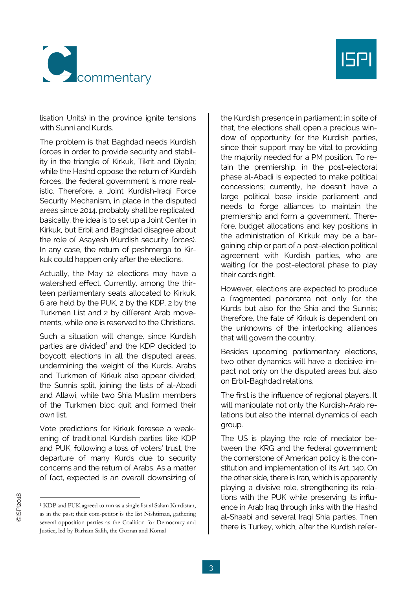



lisation Units) in the province ignite tensions with Sunni and Kurds.

The problem is that Baghdad needs Kurdish forces in order to provide security and stability in the triangle of Kirkuk, Tikrit and Diyala; while the Hashd oppose the return of Kurdish forces, the federal government is more realistic. Therefore, a Joint Kurdish-Iraqi Force Security Mechanism, in place in the disputed areas since 2014, probably shall be replicated; basically, the idea is to set up a Joint Center in Kirkuk, but Erbil and Baghdad disagree about the role of Asayesh (Kurdish security forces). In any case, the return of peshmerga to Kirkuk could happen only after the elections.

Actually, the May 12 elections may have a watershed effect. Currently, among the thirteen parliamentary seats allocated to Kirkuk, 6 are held by the PUK, 2 by the KDP, 2 by the Turkmen List and 2 by different Arab movements, while one is reserved to the Christians.

Such a situation will change, since Kurdish parties are divided<sup>[1](#page-2-0)</sup> and the KDP decided to boycott elections in all the disputed areas, undermining the weight of the Kurds. Arabs and Turkmen of Kirkuk also appear divided; the Sunnis split, joining the lists of al-Abadi and Allawi, while two Shia Muslim members of the Turkmen bloc quit and formed their own list.

Vote predictions for Kirkuk foresee a weakening of traditional Kurdish parties like KDP and PUK, following a loss of voters' trust, the departure of many Kurds due to security concerns and the return of Arabs. As a matter of fact, expected is an overall downsizing of the Kurdish presence in parliament; in spite of that, the elections shall open a precious window of opportunity for the Kurdish parties, since their support may be vital to providing the majority needed for a PM position. To retain the premiership, in the post-electoral phase al-Abadi is expected to make political concessions; currently, he doesn't have a large political base inside parliament and needs to forge alliances to maintain the premiership and form a government. Therefore, budget allocations and key positions in the administration of Kirkuk may be a bargaining chip or part of a post-election political agreement with Kurdish parties, who are waiting for the post-electoral phase to play their cards right.

However, elections are expected to produce a fragmented panorama not only for the Kurds but also for the Shia and the Sunnis; therefore, the fate of Kirkuk is dependent on the unknowns of the interlocking alliances that will govern the country.

Besides upcoming parliamentary elections, two other dynamics will have a decisive impact not only on the disputed areas but also on Erbil-Baghdad relations.

The first is the influence of regional players. It will manipulate not only the Kurdish-Arab relations but also the internal dynamics of each group.

The US is playing the role of mediator between the KRG and the federal government; the cornerstone of American policy is the constitution and implementation of its Art. 140. On the other side, there is Iran, which is apparently playing a divisive role, strengthening its relations with the PUK while preserving its influence in Arab Iraq through links with the Hashd al-Shaabi and several Iraqi Shia parties. Then there is Turkey, which, after the Kurdish refer-

-

<span id="page-2-0"></span><sup>1</sup> KDP and PUK agreed to run as a single list al Salam Kurdistan, as in the past; their com-petitor is the list Nishtiman, gathering several opposition parties as the Coalition for Democracy and Justice, led by Barham Salih, the Gorran and Komal